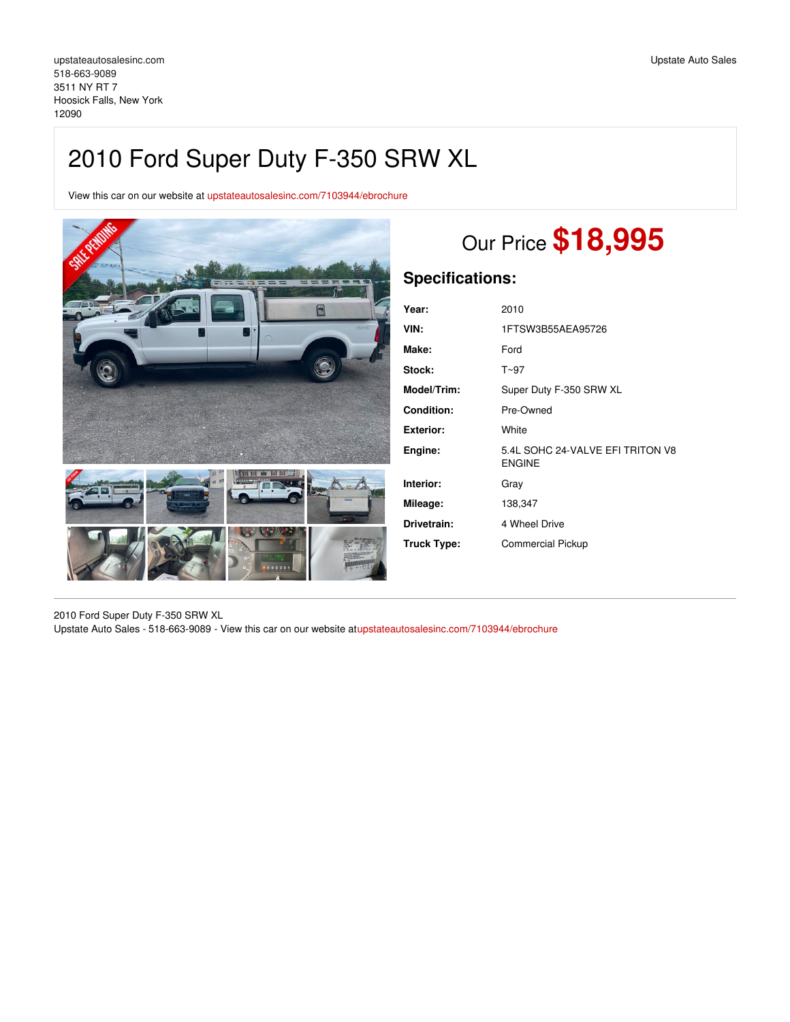# 2010 Ford Super Duty F-350 SRW XL

View this car on our website at [upstateautosalesinc.com/7103944/ebrochure](https://upstateautosalesinc.com/vehicle/7103944/2010-ford-super-duty-f-350-srw-xl-hoosick-falls-new-york-12090/7103944/ebrochure)



# Our Price **\$18,995**

## **Specifications:**

| Year:             | 2010                                              |
|-------------------|---------------------------------------------------|
| VIN:              | 1FTSW3B55AEA95726                                 |
| Make:             | Ford                                              |
| <b>Stock:</b>     | T~97                                              |
| Model/Trim:       | Super Duty F-350 SRW XL                           |
| <b>Condition:</b> | Pre-Owned                                         |
| Exterior:         | White                                             |
| Engine:           | 5.4L SOHC 24-VALVE EFI TRITON V8<br><b>ENGINE</b> |
| Interior:         | Grav                                              |
| Mileage:          | 138,347                                           |
| Drivetrain:       | 4 Wheel Drive                                     |
| Truck Type:       | <b>Commercial Pickup</b>                          |

2010 Ford Super Duty F-350 SRW XL Upstate Auto Sales - 518-663-9089 - View this car on our website a[tupstateautosalesinc.com/7103944/ebrochure](https://upstateautosalesinc.com/vehicle/7103944/2010-ford-super-duty-f-350-srw-xl-hoosick-falls-new-york-12090/7103944/ebrochure)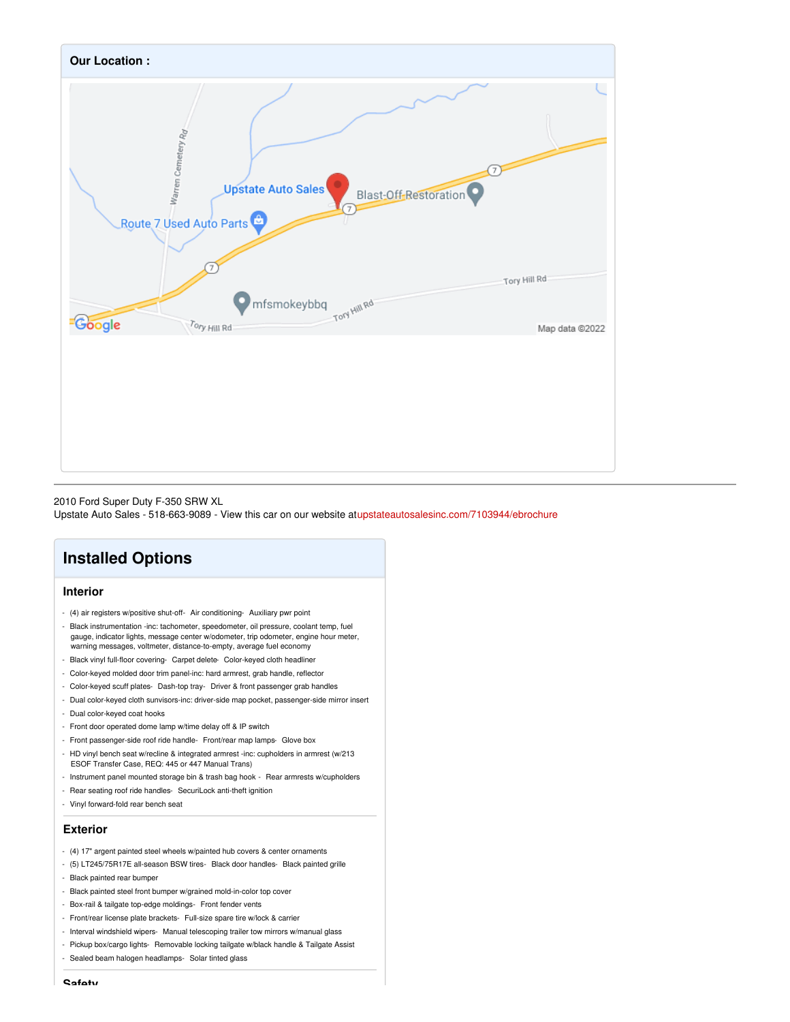

2010 Ford Super Duty F-350 SRW XL

Upstate Auto Sales - 518-663-9089 - View this car on our website a[tupstateautosalesinc.com/7103944/ebrochure](https://upstateautosalesinc.com/vehicle/7103944/2010-ford-super-duty-f-350-srw-xl-hoosick-falls-new-york-12090/7103944/ebrochure)

## **Installed Options**

### **Interior**

- (4) air registers w/positive shut-off- Air conditioning- Auxiliary pwr point
- Black instrumentation -inc: tachometer, speedometer, oil pressure, coolant temp, fuel gauge, indicator lights, message center w/odometer, trip odometer, engine hour meter, warning messages, voltmeter, distance-to-empty, average fuel economy
- Black vinyl full-floor covering- Carpet delete- Color-keyed cloth headliner
- Color-keyed molded door trim panel-inc: hard armrest, grab handle, reflector
- Color-keyed scuff plates- Dash-top tray- Driver & front passenger grab handles
- Dual color-keyed cloth sunvisors-inc: driver-side map pocket, passenger-side mirror insert
- Dual color-keyed coat hooks
- Front door operated dome lamp w/time delay off & IP switch
- Front passenger-side roof ride handle- Front/rear map lamps- Glove box
- HD vinyl bench seat w/recline & integrated armrest -inc: cupholders in armrest (w/213 ESOF Transfer Case, REQ: 445 or 447 Manual Trans)
- Instrument panel mounted storage bin & trash bag hook Rear armrests w/cupholders
- Rear seating roof ride handles- SecuriLock anti-theft ignition
- Vinyl forward-fold rear bench seat

#### **Exterior**

- (4) 17" argent painted steel wheels w/painted hub covers & center ornaments
- (5) LT245/75R17E all-season BSW tires- Black door handles- Black painted grille
- Black painted rear bumper
- Black painted steel front bumper w/grained mold-in-color top cover
- Box-rail & tailgate top-edge moldings- Front fender vents
- Front/rear license plate brackets- Full-size spare tire w/lock & carrier
- Interval windshield wipers- Manual telescoping trailer tow mirrors w/manual glass
- Pickup box/cargo lights- Removable locking tailgate w/black handle & Tailgate Assist
- Sealed beam halogen headlamps- Solar tinted glass